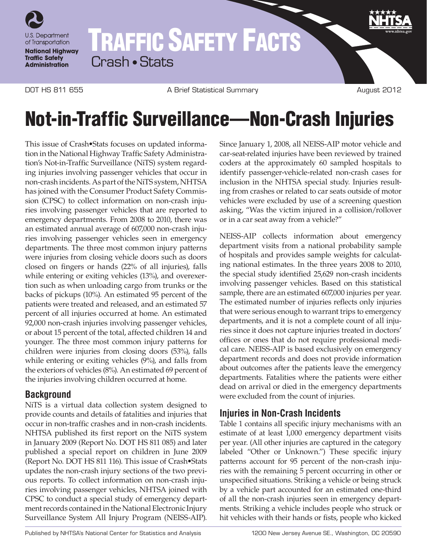

## TRAFFIC SAFETY FACTS Crash • Stats

DOT HS 811 655 A Brief Statistical Summary August 2012

# Not-in-Traffic Surveillance—Non-Crash Injuries

This issue of Crash•Stats focuses on updated information in the National Highway Traffic Safety Administration's Not-in-Traffic Surveillance (NiTS) system regarding injuries involving passenger vehicles that occur in non-crash incidents. As part of the NiTS system, NHTSA has joined with the Consumer Product Safety Commission (CPSC) to collect information on non-crash injuries involving passenger vehicles that are reported to emergency departments. From 2008 to 2010, there was an estimated annual average of 607,000 non-crash injuries involving passenger vehicles seen in emergency departments. The three most common injury patterns were injuries from closing vehicle doors such as doors closed on fingers or hands (22% of all injuries), falls while entering or exiting vehicles (13%), and overexertion such as when unloading cargo from trunks or the backs of pickups (10%). An estimated 95 percent of the patients were treated and released, and an estimated 57 percent of all injuries occurred at home. An estimated 92,000 non-crash injuries involving passenger vehicles, or about 15 percent of the total, affected children 14 and younger. The three most common injury patterns for children were injuries from closing doors (53%), falls while entering or exiting vehicles (9%), and falls from the exteriors of vehicles (8%). An estimated 69 percent of the injuries involving children occurred at home.

### **Background**

NiTS is a virtual data collection system designed to provide counts and details of fatalities and injuries that occur in non-traffic crashes and in non-crash incidents. NHTSA published its first report on the NiTS system in January 2009 (Report No. DOT HS 811 085) and later published a special report on children in June 2009 (Report No. DOT HS 811 116). This issue of Crash•Stats updates the non-crash injury sections of the two previous reports. To collect information on non-crash injuries involving passenger vehicles, NHTSA joined with CPSC to conduct a special study of emergency department records contained in the National Electronic Injury Surveillance System All Injury Program (NEISS-AIP).

Since January 1, 2008, all NEISS-AIP motor vehicle and car-seat-related injuries have been reviewed by trained coders at the approximately 60 sampled hospitals to identify passenger-vehicle-related non-crash cases for inclusion in the NHTSA special study. Injuries resulting from crashes or related to car seats outside of motor vehicles were excluded by use of a screening question asking, "Was the victim injured in a collision/rollover or in a car seat away from a vehicle?"

NEISS-AIP collects information about emergency department visits from a national probability sample of hospitals and provides sample weights for calculating national estimates. In the three years 2008 to 2010, the special study identified 25,629 non-crash incidents involving passenger vehicles. Based on this statistical sample, there are an estimated 607,000 injuries per year. The estimated number of injuries reflects only injuries that were serious enough to warrant trips to emergency departments, and it is not a complete count of all injuries since it does not capture injuries treated in doctors' offices or ones that do not require professional medical care. NEISS-AIP is based exclusively on emergency department records and does not provide information about outcomes after the patients leave the emergency departments. Fatalities where the patients were either dead on arrival or died in the emergency departments were excluded from the count of injuries.

### **Injuries in Non-Crash Incidents**

Table 1 contains all specific injury mechanisms with an estimate of at least 1,000 emergency department visits per year. (All other injuries are captured in the category labeled "Other or Unknown.") These specific injury patterns account for 95 percent of the non-crash injuries with the remaining 5 percent occurring in other or unspecified situations. Striking a vehicle or being struck by a vehicle part accounted for an estimated one-third of all the non-crash injuries seen in emergency departments. Striking a vehicle includes people who struck or hit vehicles with their hands or fists, people who kicked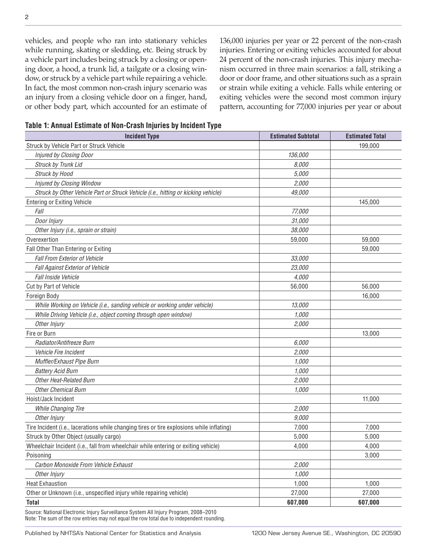vehicles, and people who ran into stationary vehicles while running, skating or sledding, etc. Being struck by a vehicle part includes being struck by a closing or opening door, a hood, a trunk lid, a tailgate or a closing window, or struck by a vehicle part while repairing a vehicle. In fact, the most common non-crash injury scenario was an injury from a closing vehicle door on a finger, hand, or other body part, which accounted for an estimate of 136,000 injuries per year or 22 percent of the non-crash injuries. Entering or exiting vehicles accounted for about 24 percent of the non-crash injuries. This injury mechanism occurred in three main scenarios: a fall, striking a door or door frame, and other situations such as a sprain or strain while exiting a vehicle. Falls while entering or exiting vehicles were the second most common injury pattern, accounting for 77,000 injuries per year or about

**Table 1: Annual Estimate of Non-Crash Injuries by Incident Type**

| <b>Incident Type</b>                                                                      | <b>Estimated Subtotal</b> | <b>Estimated Total</b> |
|-------------------------------------------------------------------------------------------|---------------------------|------------------------|
| Struck by Vehicle Part or Struck Vehicle                                                  |                           | 199,000                |
| Injured by Closing Door                                                                   | 136,000                   |                        |
| Struck by Trunk Lid                                                                       | 8,000                     |                        |
| Struck by Hood                                                                            | 5,000                     |                        |
| Injured by Closing Window                                                                 | 2,000                     |                        |
| Struck by Other Vehicle Part or Struck Vehicle (i.e., hitting or kicking vehicle)         | 49,000                    |                        |
| <b>Entering or Exiting Vehicle</b>                                                        |                           | 145,000                |
| Fall                                                                                      | 77,000                    |                        |
| Door Injury                                                                               | 31,000                    |                        |
| Other Injury (i.e., sprain or strain)                                                     | 38,000                    |                        |
| Overexertion                                                                              | 59,000                    | 59,000                 |
| Fall Other Than Entering or Exiting                                                       |                           | 59,000                 |
| <b>Fall From Exterior of Vehicle</b>                                                      | 33,000                    |                        |
| Fall Against Exterior of Vehicle                                                          | 23,000                    |                        |
| Fall Inside Vehicle                                                                       | 4,000                     |                        |
| Cut by Part of Vehicle                                                                    | 56,000                    | 56,000                 |
| Foreign Body                                                                              |                           | 16,000                 |
| While Working on Vehicle (i.e., sanding vehicle or working under vehicle)                 | 13,000                    |                        |
| While Driving Vehicle (i.e., object coming through open window)                           | 1,000                     |                        |
| Other Injury                                                                              | 2,000                     |                        |
| Fire or Burn                                                                              |                           | 13,000                 |
| Radiator/Antifreeze Burn                                                                  | 6,000                     |                        |
| Vehicle Fire Incident                                                                     | 2,000                     |                        |
| Muffler/Exhaust Pipe Burn                                                                 | 1,000                     |                        |
| <b>Battery Acid Burn</b>                                                                  | 1,000                     |                        |
| <b>Other Heat-Related Burn</b>                                                            | 2,000                     |                        |
| <b>Other Chemical Burn</b>                                                                | 1,000                     |                        |
| Hoist/Jack Incident                                                                       |                           | 11,000                 |
| <b>While Changing Tire</b>                                                                | 2,000                     |                        |
| Other Injury                                                                              | 9,000                     |                        |
| Tire Incident (i.e., lacerations while changing tires or tire explosions while inflating) | 7,000                     | 7,000                  |
| Struck by Other Object (usually cargo)                                                    | 5,000                     | 5,000                  |
| Wheelchair Incident (i.e., fall from wheelchair while entering or exiting vehicle)        | 4,000                     | 4,000                  |
| Poisoning                                                                                 |                           | 3,000                  |
| Carbon Monoxide From Vehicle Exhaust                                                      | 2,000                     |                        |
| Other Injury                                                                              | 1,000                     |                        |
| <b>Heat Exhaustion</b>                                                                    | 1,000                     | 1,000                  |
| Other or Unknown (i.e., unspecified injury while repairing vehicle)                       | 27,000                    | 27,000                 |
| <b>Total</b>                                                                              | 607,000                   | 607,000                |

Source: National Electronic Injury Surveillance System All Injury Program, 2008–2010 Note: The sum of the row entries may not equal the row total due to independent rounding.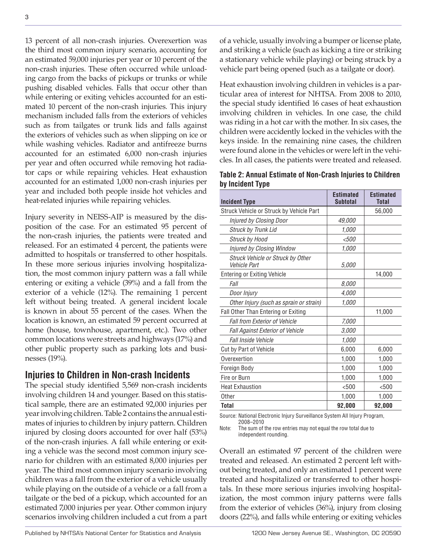13 percent of all non-crash injuries. Overexertion was the third most common injury scenario, accounting for an estimated 59,000 injuries per year or 10 percent of the non-crash injuries. These often occurred while unloading cargo from the backs of pickups or trunks or while pushing disabled vehicles. Falls that occur other than while entering or exiting vehicles accounted for an estimated 10 percent of the non-crash injuries. This injury mechanism included falls from the exteriors of vehicles such as from tailgates or trunk lids and falls against the exteriors of vehicles such as when slipping on ice or while washing vehicles. Radiator and antifreeze burns accounted for an estimated 6,000 non-crash injuries per year and often occurred while removing hot radiator caps or while repairing vehicles. Heat exhaustion accounted for an estimated 1,000 non-crash injuries per year and included both people inside hot vehicles and heat-related injuries while repairing vehicles.

Injury severity in NEISS-AIP is measured by the disposition of the case. For an estimated 95 percent of the non-crash injuries, the patients were treated and released. For an estimated 4 percent, the patients were admitted to hospitals or transferred to other hospitals. In these more serious injuries involving hospitalization, the most common injury pattern was a fall while entering or exiting a vehicle (39%) and a fall from the exterior of a vehicle (12%). The remaining 1 percent left without being treated. A general incident locale is known in about 55 percent of the cases. When the location is known, an estimated 59 percent occurred at home (house, townhouse, apartment, etc.). Two other common locations were streets and highways (17%) and other public property such as parking lots and businesses (19%).

#### **Injuries to Children in Non-crash Incidents**

The special study identified 5,569 non-crash incidents involving children 14 and younger. Based on this statistical sample, there are an estimated 92,000 injuries per year involving children. Table 2 contains the annual estimates of injuries to children by injury pattern. Children injured by closing doors accounted for over half (53%) of the non-crash injuries. A fall while entering or exiting a vehicle was the second most common injury scenario for children with an estimated 8,000 injuries per year. The third most common injury scenario involving children was a fall from the exterior of a vehicle usually while playing on the outside of a vehicle or a fall from a tailgate or the bed of a pickup, which accounted for an estimated 7,000 injuries per year. Other common injury scenarios involving children included a cut from a part

of a vehicle, usually involving a bumper or license plate, and striking a vehicle (such as kicking a tire or striking a stationary vehicle while playing) or being struck by a vehicle part being opened (such as a tailgate or door).

Heat exhaustion involving children in vehicles is a particular area of interest for NHTSA. From 2008 to 2010, the special study identified 16 cases of heat exhaustion involving children in vehicles. In one case, the child was riding in a hot car with the mother. In six cases, the children were accidently locked in the vehicles with the keys inside. In the remaining nine cases, the children were found alone in the vehicles or were left in the vehicles. In all cases, the patients were treated and released.

**Table 2: Annual Estimate of Non-Crash Injuries to Children by Incident Type**

| <b>Incident Type</b>                              | <b>Estimated</b><br><b>Subtotal</b> | <b>Estimated</b><br><b>Total</b> |
|---------------------------------------------------|-------------------------------------|----------------------------------|
| Struck Vehicle or Struck by Vehicle Part          |                                     | 56,000                           |
| Injured by Closing Door                           | 49,000                              |                                  |
| <b>Struck by Trunk Lid</b>                        | 1.000                               |                                  |
| <b>Struck by Hood</b>                             | <500                                |                                  |
| Injured by Closing Window                         | 1.000                               |                                  |
| Struck Vehicle or Struck by Other<br>Vehicle Part | 5,000                               |                                  |
| <b>Entering or Exiting Vehicle</b>                |                                     | 14,000                           |
| Fall                                              | 8,000                               |                                  |
| Door Injury                                       | 4,000                               |                                  |
| Other Injury (such as sprain or strain)           | 1.000                               |                                  |
| Fall Other Than Entering or Exiting               |                                     | 11,000                           |
| <b>Fall from Exterior of Vehicle</b>              | 7,000                               |                                  |
| Fall Against Exterior of Vehicle                  | 3.000                               |                                  |
| Fall Inside Vehicle                               | 1.000                               |                                  |
| <b>Cut by Part of Vehicle</b>                     | 6,000                               | 6,000                            |
| Overexertion                                      | 1,000                               | 1,000                            |
| Foreign Body                                      | 1,000                               | 1,000                            |
| Fire or Burn                                      | 1,000                               | 1,000                            |
| <b>Heat Exhaustion</b>                            | < 500                               | < 500                            |
| Other                                             | 1,000                               | 1,000                            |
| Total                                             | 92,000                              | 92,000                           |

Source: National Electronic Injury Surveillance System All Injury Program, 2008–2010

Note: The sum of the row entries may not equal the row total due to independent rounding.

Overall an estimated 97 percent of the children were treated and released. An estimated 2 percent left without being treated, and only an estimated 1 percent were treated and hospitalized or transferred to other hospitals. In these more serious injuries involving hospitalization, the most common injury patterns were falls from the exterior of vehicles (36%), injury from closing doors (22%), and falls while entering or exiting vehicles